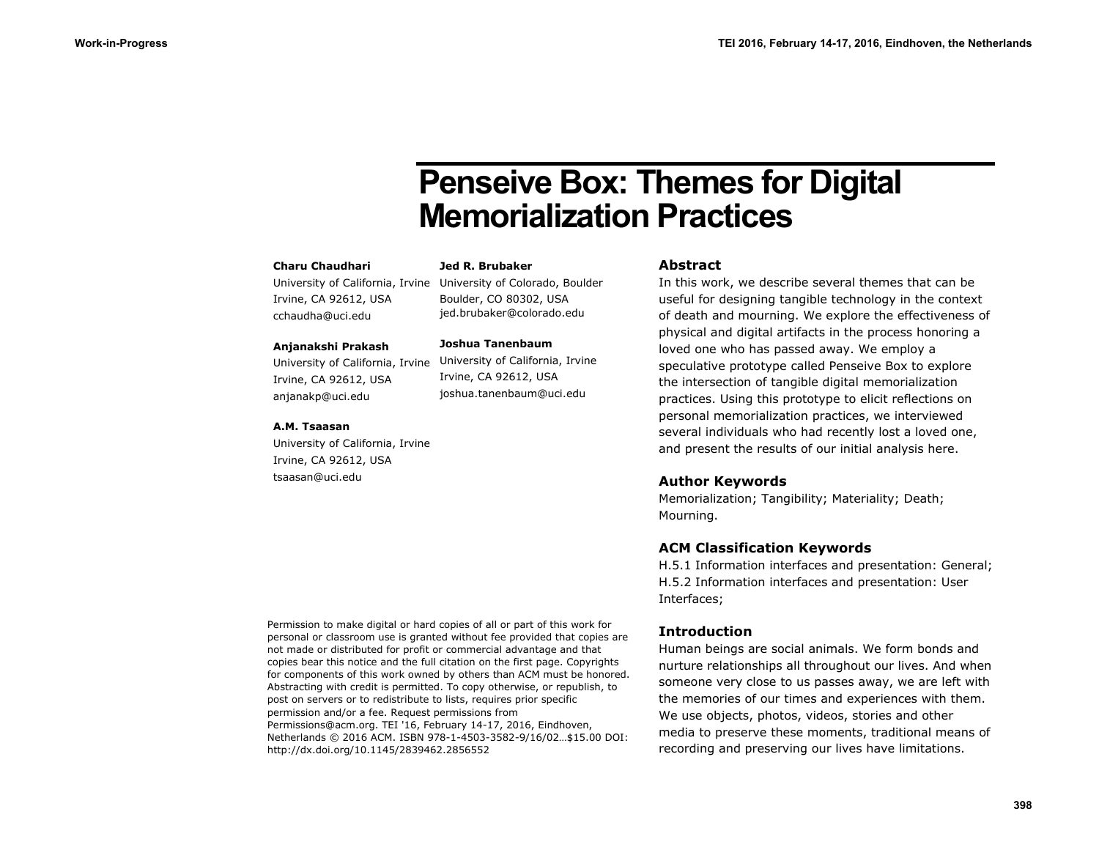# **Penseive Box: Themes for Digital Memorialization Practices**

## **Charu Chaudhari**

Irvine, CA 92612, USA cchaudha@uci.edu

#### **Anjanakshi Prakash**

University of California, Irvine Irvine, CA 92612, USA anjanakp@uci.edu

#### **A.M. Tsaasan**

University of California, Irvine Irvine, CA 92612, USA tsaasan@uci.edu

#### **Jed R. Brubaker**

University of California, Irvine University of Colorado, Boulder Boulder, CO 80302, USA jed.brubaker@colorado.edu

## **Joshua Tanenbaum**

University of California, Irvine Irvine, CA 92612, USA joshua.tanenbaum@uci.edu

## **Abstract**

In this work, we describe several themes that can be useful for designing tangible technology in the context of death and mourning. We explore the effectiveness of physical and digital artifacts in the process honoring a loved one who has passed away. We employ a speculative prototype called Penseive Box to explore the intersection of tangible digital memorialization practices. Using this prototype to elicit reflections on personal memorialization practices, we interviewed several individuals who had recently lost a loved one, and present the results of our initial analysis here.

## **Author Keywords**

Memorialization; Tangibility; Materiality; Death; Mourning.

# **ACM Classification Keywords**

H.5.1 Information interfaces and presentation: General; H.5.2 Information interfaces and presentation: User Interfaces;

# **Introduction**

Human beings are social animals. We form bonds and nurture relationships all throughout our lives. And when someone very close to us passes away, we are left with the memories of our times and experiences with them. We use objects, photos, videos, stories and other media to preserve these moments, traditional means of recording and preserving our lives have limitations.

Permission to make digital or hard copies of all or part of this work for personal or classroom use is granted without fee provided that copies are not made or distributed for profit or commercial advantage and that copies bear this notice and the full citation on the first page. Copyrights for components of this work owned by others than ACM must be honored. Abstracting with credit is permitted. To copy otherwise, or republish, to post on servers or to redistribute to lists, requires prior specific permission and/or a fee. Request permissions from Permissions@acm.org. TEI '16, February 14-17, 2016, Eindhoven, Netherlands © 2016 ACM. ISBN 978-1-4503-3582-9/16/02…\$15.00 DOI: http://dx.doi.org/10.1145/2839462.2856552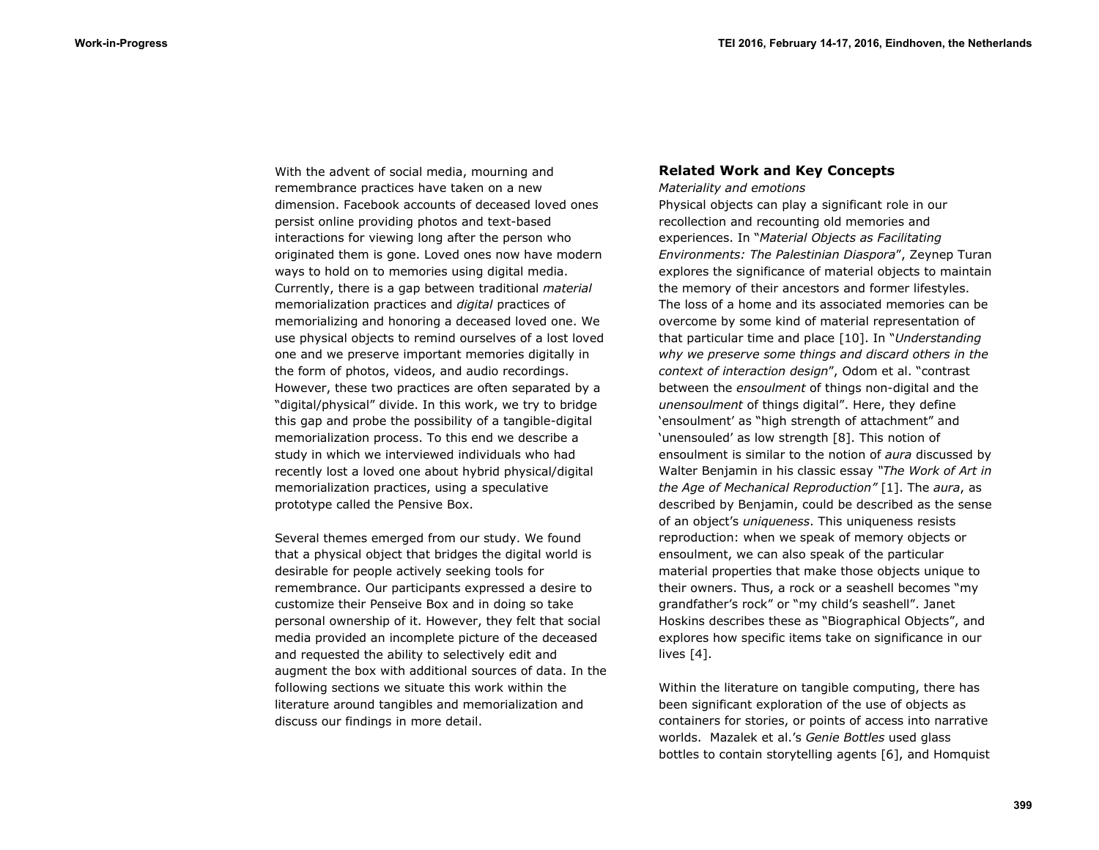With the advent of social media, mourning and remembrance practices have taken on a new dimension. Facebook accounts of deceased loved ones persist online providing photos and text-based interactions for viewing long after the person who originated them is gone. Loved ones now have modern ways to hold on to memories using digital media. Currently, there is a gap between traditional *material* memorialization practices and *digital* practices of memorializing and honoring a deceased loved one. We use physical objects to remind ourselves of a lost loved one and we preserve important memories digitally in the form of photos, videos, and audio recordings. However, these two practices are often separated by a "digital/physical" divide. In this work, we try to bridge this gap and probe the possibility of a tangible-digital memorialization process. To this end we describe a study in which we interviewed individuals who had recently lost a loved one about hybrid physical/digital memorialization practices, using a speculative prototype called the Pensive Box.

Several themes emerged from our study. We found that a physical object that bridges the digital world is desirable for people actively seeking tools for remembrance. Our participants expressed a desire to customize their Penseive Box and in doing so take personal ownership of it. However, they felt that social media provided an incomplete picture of the deceased and requested the ability to selectively edit and augment the box with additional sources of data. In the following sections we situate this work within the literature around tangibles and memorialization and discuss our findings in more detail.

# **Related Work and Key Concepts**

*Materiality and emotions* 

Physical objects can play a significant role in our recollection and recounting old memories and experiences. In "*Material Objects as Facilitating Environments: The Palestinian Diaspora*", Zeynep Turan explores the significance of material objects to maintain the memory of their ancestors and former lifestyles. The loss of a home and its associated memories can be overcome by some kind of material representation of that particular time and place [10]. In "*Understanding why we preserve some things and discard others in the context of interaction design*", Odom et al. "contrast between the *ensoulment* of things non-digital and the *unensoulment* of things digital". Here, they define 'ensoulment' as "high strength of attachment" and 'unensouled' as low strength [8]. This notion of ensoulment is similar to the notion of *aura* discussed by Walter Benjamin in his classic essay *"The Work of Art in the Age of Mechanical Reproduction"* [1]. The *aura*, as described by Benjamin, could be described as the sense of an object's *uniqueness*. This uniqueness resists reproduction: when we speak of memory objects or ensoulment, we can also speak of the particular material properties that make those objects unique to their owners. Thus, a rock or a seashell becomes "my grandfather's rock" or "my child's seashell". Janet Hoskins describes these as "Biographical Objects", and explores how specific items take on significance in our lives [4].

Within the literature on tangible computing, there has been significant exploration of the use of objects as containers for stories, or points of access into narrative worlds. Mazalek et al.'s *Genie Bottles* used glass bottles to contain storytelling agents [6], and Homquist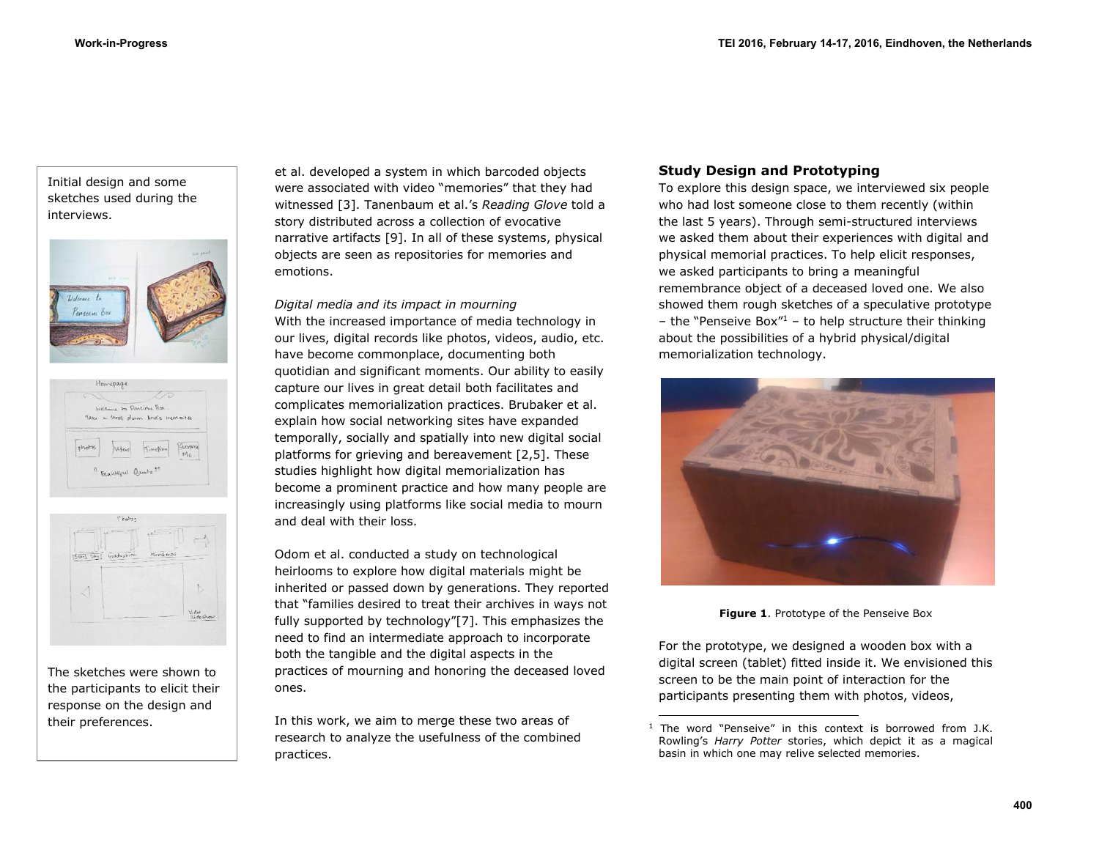Initial design and some sketches used during the interviews.

| <b>LA MAI</b><br>Mit (film)<br>Wilsone to<br>Pencience Box         |  |
|--------------------------------------------------------------------|--|
| Homepage                                                           |  |
| D<br>Welcome to Pensiere Box.<br>Take a throll down knots memories |  |
| videos timetime Bustave<br>photes                                  |  |
| "Beautiful Quote"                                                  |  |



The sketches were shown to the participants to elicit their response on the design and their preferences.

et al. developed a system in which barcoded objects were associated with video "memories" that they had witnessed [3]. Tanenbaum et al.'s *Reading Glove* told a story distributed across a collection of evocative narrative artifacts [9]. In all of these systems, physical objects are seen as repositories for memories and emotions.

*Digital media and its impact in mourning*  With the increased importance of media technology in our lives, digital records like photos, videos, audio, etc. have become commonplace, documenting both quotidian and significant moments. Our ability to easily capture our lives in great detail both facilitates and complicates memorialization practices. Brubaker et al. explain how social networking sites have expanded temporally, socially and spatially into new digital social platforms for grieving and bereavement [2,5]. These studies highlight how digital memorialization has become a prominent practice and how many people are increasingly using platforms like social media to mourn and deal with their loss.

Odom et al. conducted a study on technological heirlooms to explore how digital materials might be inherited or passed down by generations. They reported that "families desired to treat their archives in ways not fully supported by technology"[7]. This emphasizes the need to find an intermediate approach to incorporate both the tangible and the digital aspects in the practices of mourning and honoring the deceased loved ones.

In this work, we aim to merge these two areas of research to analyze the usefulness of the combined practices.

# **Study Design and Prototyping**

To explore this design space, we interviewed six people who had lost someone close to them recently (within the last 5 years). Through semi-structured interviews we asked them about their experiences with digital and physical memorial practices. To help elicit responses, we asked participants to bring a meaningful remembrance object of a deceased loved one. We also showed them rough sketches of a speculative prototype – the "Penseive Box" $1$  – to help structure their thinking about the possibilities of a hybrid physical/digital memorialization technology.



**Figure 1**. Prototype of the Penseive Box

For the prototype, we designed a wooden box with a digital screen (tablet) fitted inside it. We envisioned this screen to be the main point of interaction for the participants presenting them with photos, videos,

<sup>1</sup> The word "Penseive" in this context is borrowed from J.K. Rowling's *Harry Potter* stories, which depict it as a magical basin in which one may relive selected memories.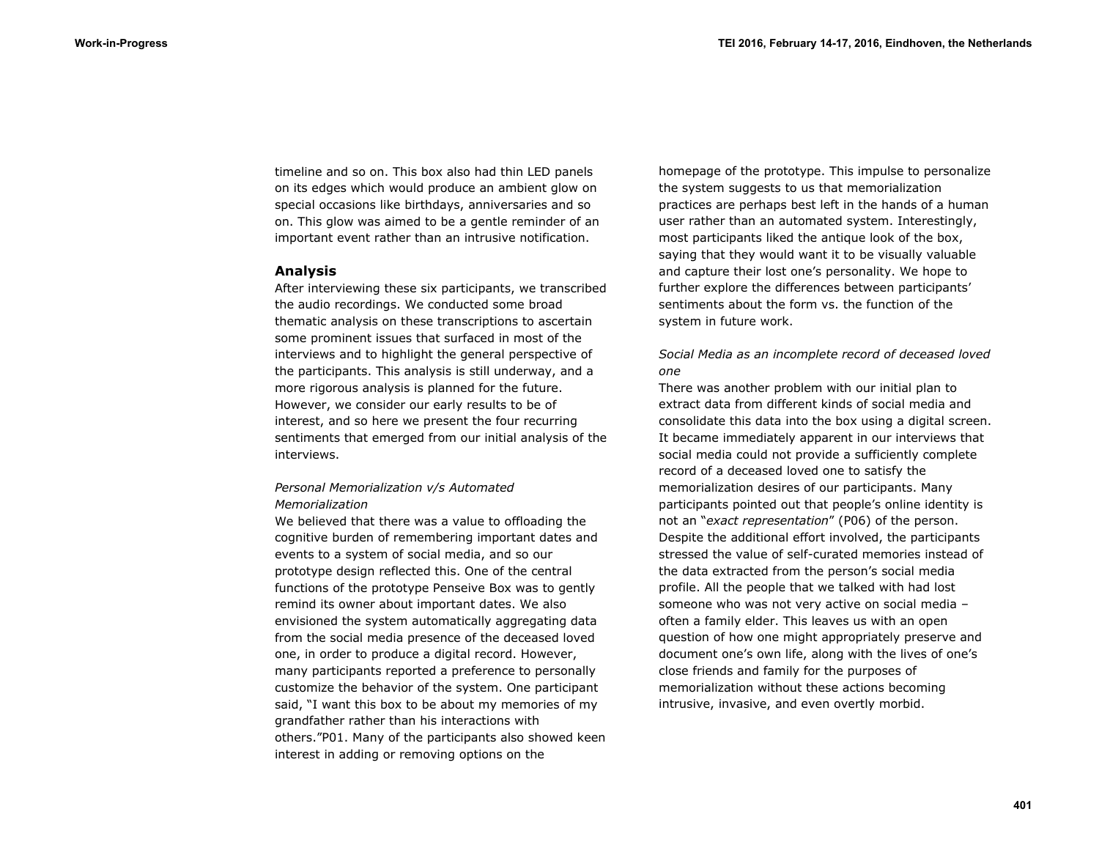timeline and so on. This box also had thin LED panels on its edges which would produce an ambient glow on special occasions like birthdays, anniversaries and so on. This glow was aimed to be a gentle reminder of an important event rather than an intrusive notification.

## **Analysis**

After interviewing these six participants, we transcribed the audio recordings. We conducted some broad thematic analysis on these transcriptions to ascertain some prominent issues that surfaced in most of the interviews and to highlight the general perspective of the participants. This analysis is still underway, and a more rigorous analysis is planned for the future. However, we consider our early results to be of interest, and so here we present the four recurring sentiments that emerged from our initial analysis of the interviews.

# *Personal Memorialization v/s Automated Memorialization*

We believed that there was a value to offloading the cognitive burden of remembering important dates and events to a system of social media, and so our prototype design reflected this. One of the central functions of the prototype Penseive Box was to gently remind its owner about important dates. We also envisioned the system automatically aggregating data from the social media presence of the deceased loved one, in order to produce a digital record. However, many participants reported a preference to personally customize the behavior of the system. One participant said, "I want this box to be about my memories of my grandfather rather than his interactions with others."P01. Many of the participants also showed keen interest in adding or removing options on the

homepage of the prototype. This impulse to personalize the system suggests to us that memorialization practices are perhaps best left in the hands of a human user rather than an automated system. Interestingly, most participants liked the antique look of the box, saying that they would want it to be visually valuable and capture their lost one's personality. We hope to further explore the differences between participants' sentiments about the form vs. the function of the system in future work.

# *Social Media as an incomplete record of deceased loved one*

There was another problem with our initial plan to extract data from different kinds of social media and consolidate this data into the box using a digital screen. It became immediately apparent in our interviews that social media could not provide a sufficiently complete record of a deceased loved one to satisfy the memorialization desires of our participants. Many participants pointed out that people's online identity is not an "*exact representation*" (P06) of the person. Despite the additional effort involved, the participants stressed the value of self-curated memories instead of the data extracted from the person's social media profile. All the people that we talked with had lost someone who was not very active on social media – often a family elder. This leaves us with an open question of how one might appropriately preserve and document one's own life, along with the lives of one's close friends and family for the purposes of memorialization without these actions becoming intrusive, invasive, and even overtly morbid.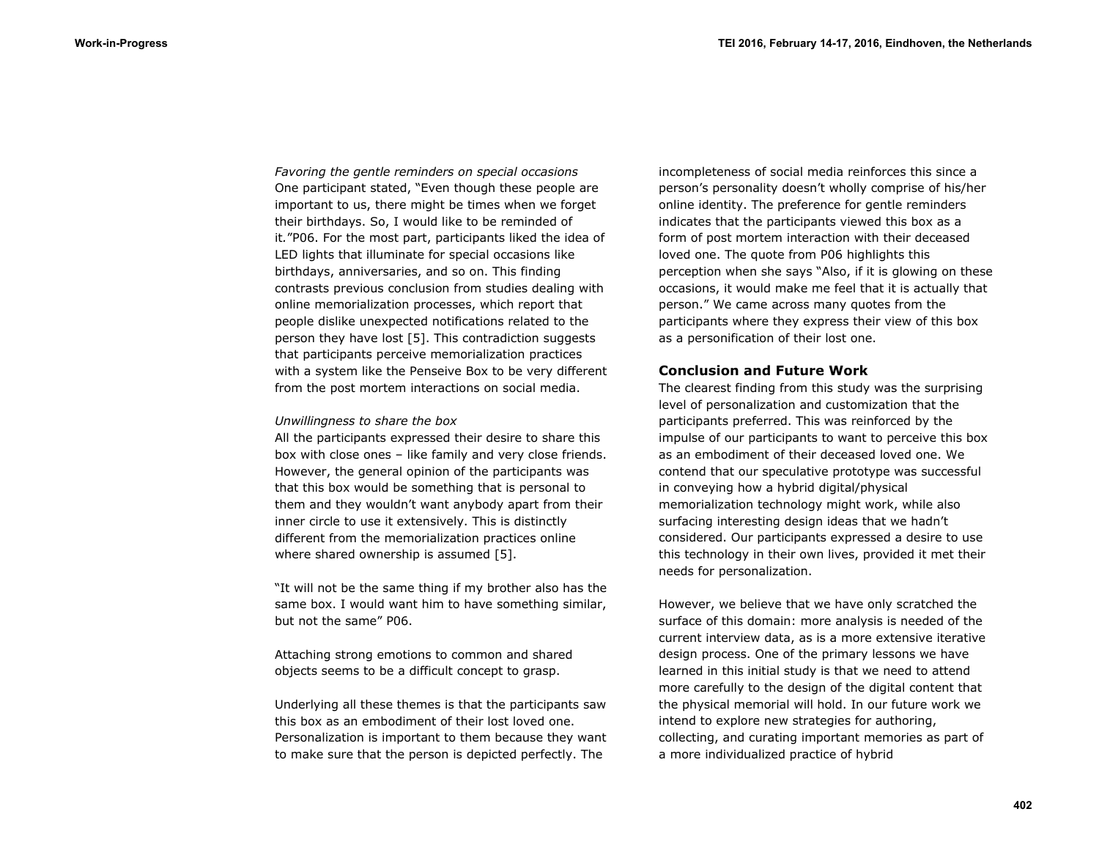*Favoring the gentle reminders on special occasions*  One participant stated, "Even though these people are important to us, there might be times when we forget their birthdays. So, I would like to be reminded of it*.*"P06. For the most part, participants liked the idea of LED lights that illuminate for special occasions like birthdays, anniversaries, and so on. This finding contrasts previous conclusion from studies dealing with online memorialization processes, which report that people dislike unexpected notifications related to the person they have lost [5]. This contradiction suggests that participants perceive memorialization practices with a system like the Penseive Box to be very different from the post mortem interactions on social media.

## *Unwillingness to share the box*

All the participants expressed their desire to share this box with close ones – like family and very close friends. However, the general opinion of the participants was that this box would be something that is personal to them and they wouldn't want anybody apart from their inner circle to use it extensively. This is distinctly different from the memorialization practices online where shared ownership is assumed [5].

"It will not be the same thing if my brother also has the same box. I would want him to have something similar, but not the same" P06.

Attaching strong emotions to common and shared objects seems to be a difficult concept to grasp.

Underlying all these themes is that the participants saw this box as an embodiment of their lost loved one. Personalization is important to them because they want to make sure that the person is depicted perfectly. The

incompleteness of social media reinforces this since a person's personality doesn't wholly comprise of his/her online identity. The preference for gentle reminders indicates that the participants viewed this box as a form of post mortem interaction with their deceased loved one. The quote from P06 highlights this perception when she says "Also, if it is glowing on these occasions, it would make me feel that it is actually that person." We came across many quotes from the participants where they express their view of this box as a personification of their lost one.

## **Conclusion and Future Work**

The clearest finding from this study was the surprising level of personalization and customization that the participants preferred. This was reinforced by the impulse of our participants to want to perceive this box as an embodiment of their deceased loved one. We contend that our speculative prototype was successful in conveying how a hybrid digital/physical memorialization technology might work, while also surfacing interesting design ideas that we hadn't considered. Our participants expressed a desire to use this technology in their own lives, provided it met their needs for personalization.

However, we believe that we have only scratched the surface of this domain: more analysis is needed of the current interview data, as is a more extensive iterative design process. One of the primary lessons we have learned in this initial study is that we need to attend more carefully to the design of the digital content that the physical memorial will hold. In our future work we intend to explore new strategies for authoring, collecting, and curating important memories as part of a more individualized practice of hybrid